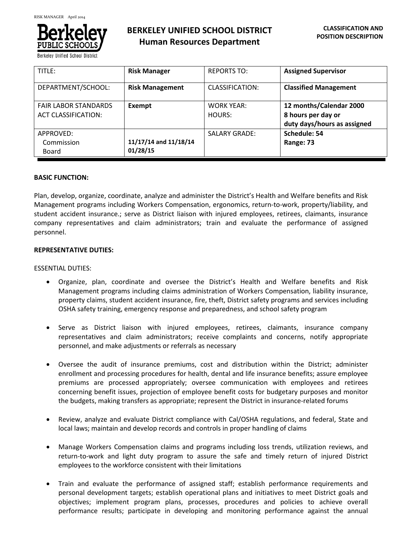

**Berkeley Unified School** 

| TITLE:                                                    | <b>Risk Manager</b>               | <b>REPORTS TO:</b>          | <b>Assigned Supervisor</b>                                                   |
|-----------------------------------------------------------|-----------------------------------|-----------------------------|------------------------------------------------------------------------------|
| DEPARTMENT/SCHOOL:                                        | <b>Risk Management</b>            | CLASSIFICATION:             | <b>Classified Management</b>                                                 |
| <b>FAIR LABOR STANDARDS</b><br><b>ACT CLASSIFICATION:</b> | Exempt                            | <b>WORK YEAR:</b><br>HOURS: | 12 months/Calendar 2000<br>8 hours per day or<br>duty days/hours as assigned |
| APPROVED:<br>Commission<br>Board                          | 11/17/14 and 11/18/14<br>01/28/15 | <b>SALARY GRADE:</b>        | Schedule: 54<br>Range: 73                                                    |

# **BASIC FUNCTION:**

Plan, develop, organize, coordinate, analyze and administer the District's Health and Welfare benefits and Risk Management programs including Workers Compensation, ergonomics, return-to-work, property/liability, and student accident insurance.; serve as District liaison with injured employees, retirees, claimants, insurance company representatives and claim administrators; train and evaluate the performance of assigned personnel.

# **REPRESENTATIVE DUTIES:**

# ESSENTIAL DUTIES:

- Organize, plan, coordinate and oversee the District's Health and Welfare benefits and Risk Management programs including claims administration of Workers Compensation, liability insurance, property claims, student accident insurance, fire, theft, District safety programs and services including OSHA safety training, emergency response and preparedness, and school safety program
- Serve as District liaison with injured employees, retirees, claimants, insurance company representatives and claim administrators; receive complaints and concerns, notify appropriate personnel, and make adjustments or referrals as necessary
- Oversee the audit of insurance premiums, cost and distribution within the District; administer enrollment and processing procedures for health, dental and life insurance benefits; assure employee premiums are processed appropriately; oversee communication with employees and retirees concerning benefit issues, projection of employee benefit costs for budgetary purposes and monitor the budgets, making transfers as appropriate; represent the District in insurance-related forums
- Review, analyze and evaluate District compliance with Cal/OSHA regulations, and federal, State and local laws; maintain and develop records and controls in proper handling of claims
- Manage Workers Compensation claims and programs including loss trends, utilization reviews, and return-to-work and light duty program to assure the safe and timely return of injured District employees to the workforce consistent with their limitations
- Train and evaluate the performance of assigned staff; establish performance requirements and personal development targets; establish operational plans and initiatives to meet District goals and objectives; implement program plans, processes, procedures and policies to achieve overall performance results; participate in developing and monitoring performance against the annual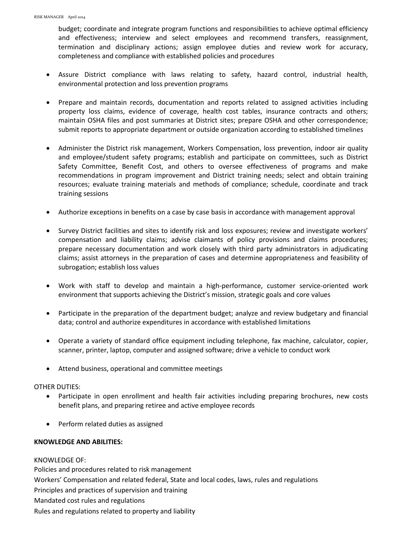budget; coordinate and integrate program functions and responsibilities to achieve optimal efficiency and effectiveness; interview and select employees and recommend transfers, reassignment, termination and disciplinary actions; assign employee duties and review work for accuracy, completeness and compliance with established policies and procedures

- Assure District compliance with laws relating to safety, hazard control, industrial health, environmental protection and loss prevention programs
- Prepare and maintain records, documentation and reports related to assigned activities including property loss claims, evidence of coverage, health cost tables, insurance contracts and others; maintain OSHA files and post summaries at District sites; prepare OSHA and other correspondence; submit reports to appropriate department or outside organization according to established timelines
- Administer the District risk management, Workers Compensation, loss prevention, indoor air quality and employee/student safety programs; establish and participate on committees, such as District Safety Committee, Benefit Cost, and others to oversee effectiveness of programs and make recommendations in program improvement and District training needs; select and obtain training resources; evaluate training materials and methods of compliance; schedule, coordinate and track training sessions
- Authorize exceptions in benefits on a case by case basis in accordance with management approval
- Survey District facilities and sites to identify risk and loss exposures; review and investigate workers' compensation and liability claims; advise claimants of policy provisions and claims procedures; prepare necessary documentation and work closely with third party administrators in adjudicating claims; assist attorneys in the preparation of cases and determine appropriateness and feasibility of subrogation; establish loss values
- Work with staff to develop and maintain a high-performance, customer service-oriented work environment that supports achieving the District's mission, strategic goals and core values
- Participate in the preparation of the department budget; analyze and review budgetary and financial data; control and authorize expenditures in accordance with established limitations
- Operate a variety of standard office equipment including telephone, fax machine, calculator, copier, scanner, printer, laptop, computer and assigned software; drive a vehicle to conduct work
- Attend business, operational and committee meetings

# OTHER DUTIES:

- Participate in open enrollment and health fair activities including preparing brochures, new costs benefit plans, and preparing retiree and active employee records
- Perform related duties as assigned

# **KNOWLEDGE AND ABILITIES:**

KNOWLEDGE OF: Policies and procedures related to risk management Workers' Compensation and related federal, State and local codes, laws, rules and regulations Principles and practices of supervision and training Mandated cost rules and regulations Rules and regulations related to property and liability